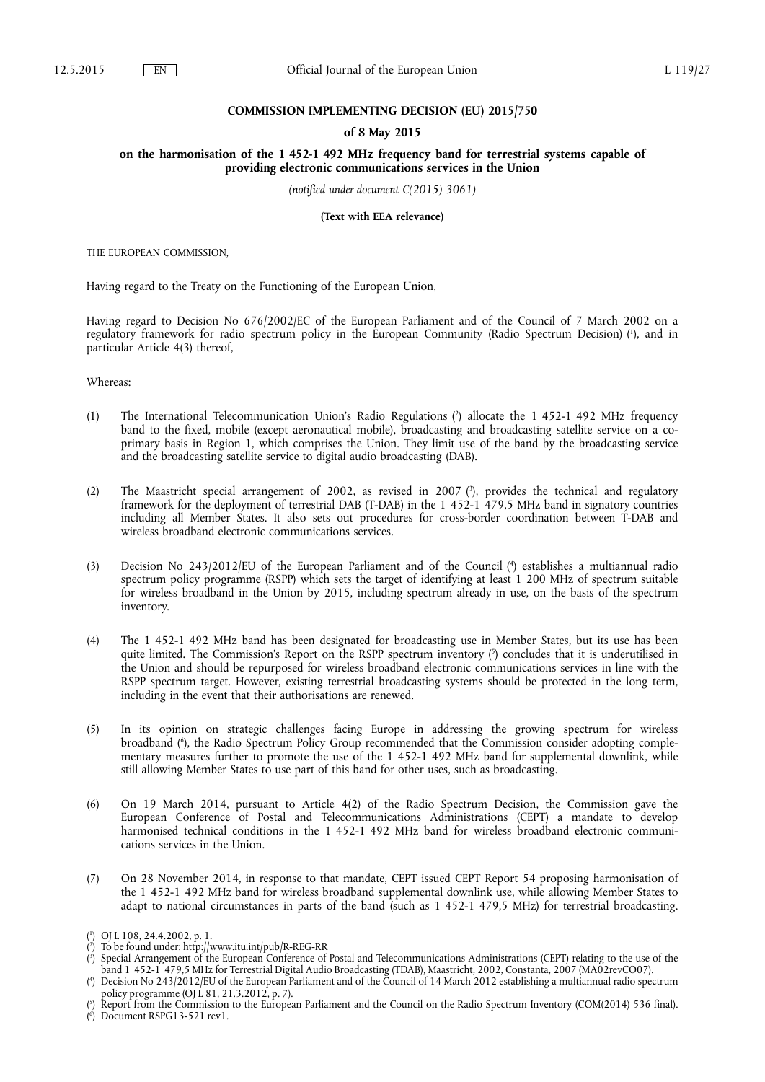#### **COMMISSION IMPLEMENTING DECISION (EU) 2015/750**

### **of 8 May 2015**

**on the harmonisation of the 1 452-1 492 MHz frequency band for terrestrial systems capable of providing electronic communications services in the Union** 

*(notified under document C(2015) 3061)* 

**(Text with EEA relevance)** 

THE EUROPEAN COMMISSION,

Having regard to the Treaty on the Functioning of the European Union,

Having regard to Decision No 676/2002/EC of the European Parliament and of the Council of 7 March 2002 on a regulatory framework for radio spectrum policy in the European Community (Radio Spectrum Decision) ( 1 ), and in particular Article 4(3) thereof,

Whereas:

- (1) The International Telecommunication Union's Radio Regulations ( 2 ) allocate the 1 452-1 492 MHz frequency band to the fixed, mobile (except aeronautical mobile), broadcasting and broadcasting satellite service on a coprimary basis in Region 1, which comprises the Union. They limit use of the band by the broadcasting service and the broadcasting satellite service to digital audio broadcasting (DAB).
- (2) The Maastricht special arrangement of 2002, as revised in 2007 ( 3 ), provides the technical and regulatory framework for the deployment of terrestrial DAB (T-DAB) in the 1 452-1 479,5 MHz band in signatory countries including all Member States. It also sets out procedures for cross-border coordination between T-DAB and wireless broadband electronic communications services.
- (3) Decision No 243/2012/EU of the European Parliament and of the Council ( 4 ) establishes a multiannual radio spectrum policy programme (RSPP) which sets the target of identifying at least 1 200 MHz of spectrum suitable for wireless broadband in the Union by 2015, including spectrum already in use, on the basis of the spectrum inventory.
- (4) The 1 452-1 492 MHz band has been designated for broadcasting use in Member States, but its use has been quite limited. The Commission's Report on the RSPP spectrum inventory ( 5 ) concludes that it is underutilised in the Union and should be repurposed for wireless broadband electronic communications services in line with the RSPP spectrum target. However, existing terrestrial broadcasting systems should be protected in the long term, including in the event that their authorisations are renewed.
- (5) In its opinion on strategic challenges facing Europe in addressing the growing spectrum for wireless broadband ( 6 ), the Radio Spectrum Policy Group recommended that the Commission consider adopting complementary measures further to promote the use of the 1 452-1 492 MHz band for supplemental downlink, while still allowing Member States to use part of this band for other uses, such as broadcasting.
- (6) On 19 March 2014, pursuant to Article 4(2) of the Radio Spectrum Decision, the Commission gave the European Conference of Postal and Telecommunications Administrations (CEPT) a mandate to develop harmonised technical conditions in the 1 452-1 492 MHz band for wireless broadband electronic communications services in the Union.
- (7) On 28 November 2014, in response to that mandate, CEPT issued CEPT Report 54 proposing harmonisation of the 1 452-1 492 MHz band for wireless broadband supplemental downlink use, while allowing Member States to adapt to national circumstances in parts of the band (such as 1 452-1 479,5 MHz) for terrestrial broadcasting.

( 6 ) Document RSPG13-521 rev1.

<sup>(</sup> 1 ) OJ L 108, 24.4.2002, p. 1.

<sup>(</sup> 2 ) To be found under: <http://www.itu.int/pub/R-REG-RR>

<sup>(</sup> 3 ) Special Arrangement of the European Conference of Postal and Telecommunications Administrations (CEPT) relating to the use of the band 1 452-1 479,5 MHz for Terrestrial Digital Audio Broadcasting (TDAB), Maastricht, 2002, Constanta, 2007 (MA02revCO07).

<sup>(</sup> 4 ) Decision No 243/2012/EU of the European Parliament and of the Council of 14 March 2012 establishing a multiannual radio spectrum policy programme (OJ L 81, 21.3.2012, p. 7).

<sup>(</sup> 5 ) Report from the Commission to the European Parliament and the Council on the Radio Spectrum Inventory (COM(2014) 536 final).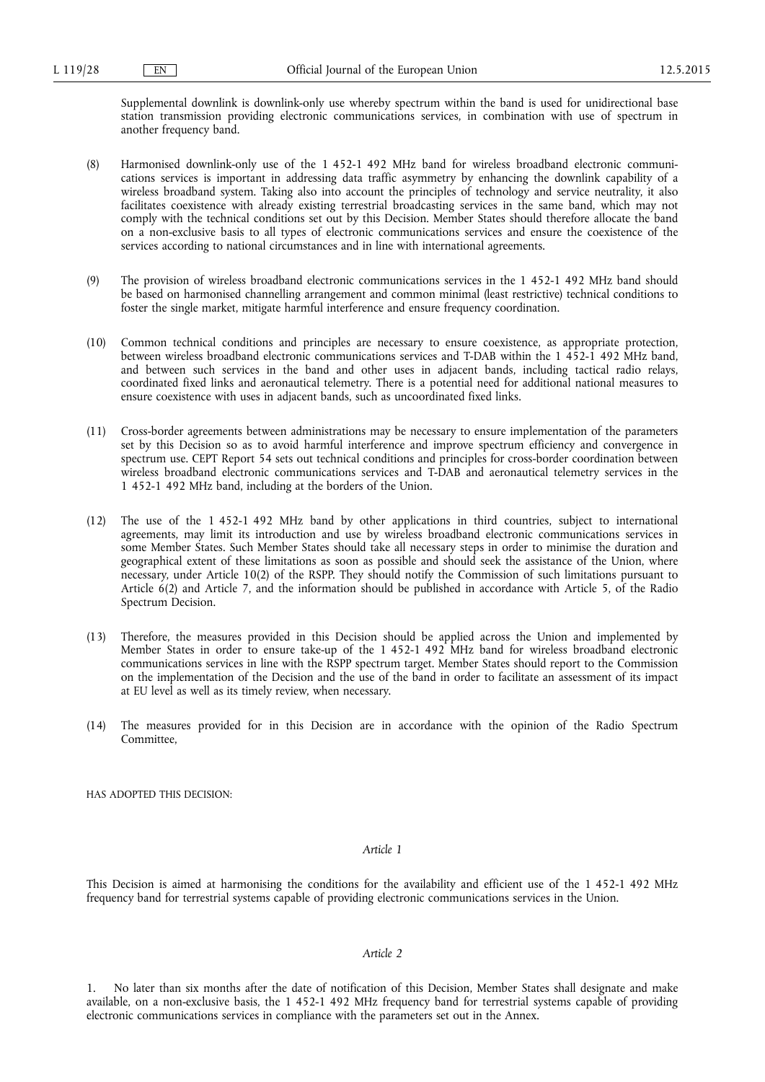Supplemental downlink is downlink-only use whereby spectrum within the band is used for unidirectional base station transmission providing electronic communications services, in combination with use of spectrum in another frequency band.

- (8) Harmonised downlink-only use of the 1 452-1 492 MHz band for wireless broadband electronic communications services is important in addressing data traffic asymmetry by enhancing the downlink capability of a wireless broadband system. Taking also into account the principles of technology and service neutrality, it also facilitates coexistence with already existing terrestrial broadcasting services in the same band, which may not comply with the technical conditions set out by this Decision. Member States should therefore allocate the band on a non-exclusive basis to all types of electronic communications services and ensure the coexistence of the services according to national circumstances and in line with international agreements.
- (9) The provision of wireless broadband electronic communications services in the 1 452-1 492 MHz band should be based on harmonised channelling arrangement and common minimal (least restrictive) technical conditions to foster the single market, mitigate harmful interference and ensure frequency coordination.
- (10) Common technical conditions and principles are necessary to ensure coexistence, as appropriate protection, between wireless broadband electronic communications services and T-DAB within the 1 452-1 492 MHz band, and between such services in the band and other uses in adjacent bands, including tactical radio relays, coordinated fixed links and aeronautical telemetry. There is a potential need for additional national measures to ensure coexistence with uses in adjacent bands, such as uncoordinated fixed links.
- (11) Cross-border agreements between administrations may be necessary to ensure implementation of the parameters set by this Decision so as to avoid harmful interference and improve spectrum efficiency and convergence in spectrum use. CEPT Report 54 sets out technical conditions and principles for cross-border coordination between wireless broadband electronic communications services and T-DAB and aeronautical telemetry services in the 1 452-1 492 MHz band, including at the borders of the Union.
- (12) The use of the 1 452-1 492 MHz band by other applications in third countries, subject to international agreements, may limit its introduction and use by wireless broadband electronic communications services in some Member States. Such Member States should take all necessary steps in order to minimise the duration and geographical extent of these limitations as soon as possible and should seek the assistance of the Union, where necessary, under Article 10(2) of the RSPP. They should notify the Commission of such limitations pursuant to Article 6(2) and Article 7, and the information should be published in accordance with Article 5, of the Radio Spectrum Decision.
- (13) Therefore, the measures provided in this Decision should be applied across the Union and implemented by Member States in order to ensure take-up of the 1 452-1 492 MHz band for wireless broadband electronic communications services in line with the RSPP spectrum target. Member States should report to the Commission on the implementation of the Decision and the use of the band in order to facilitate an assessment of its impact at EU level as well as its timely review, when necessary.
- (14) The measures provided for in this Decision are in accordance with the opinion of the Radio Spectrum Committee,

HAS ADOPTED THIS DECISION:

#### *Article 1*

This Decision is aimed at harmonising the conditions for the availability and efficient use of the 1 452-1 492 MHz frequency band for terrestrial systems capable of providing electronic communications services in the Union.

## *Article 2*

1. No later than six months after the date of notification of this Decision, Member States shall designate and make available, on a non-exclusive basis, the 1 452-1 492 MHz frequency band for terrestrial systems capable of providing electronic communications services in compliance with the parameters set out in the Annex.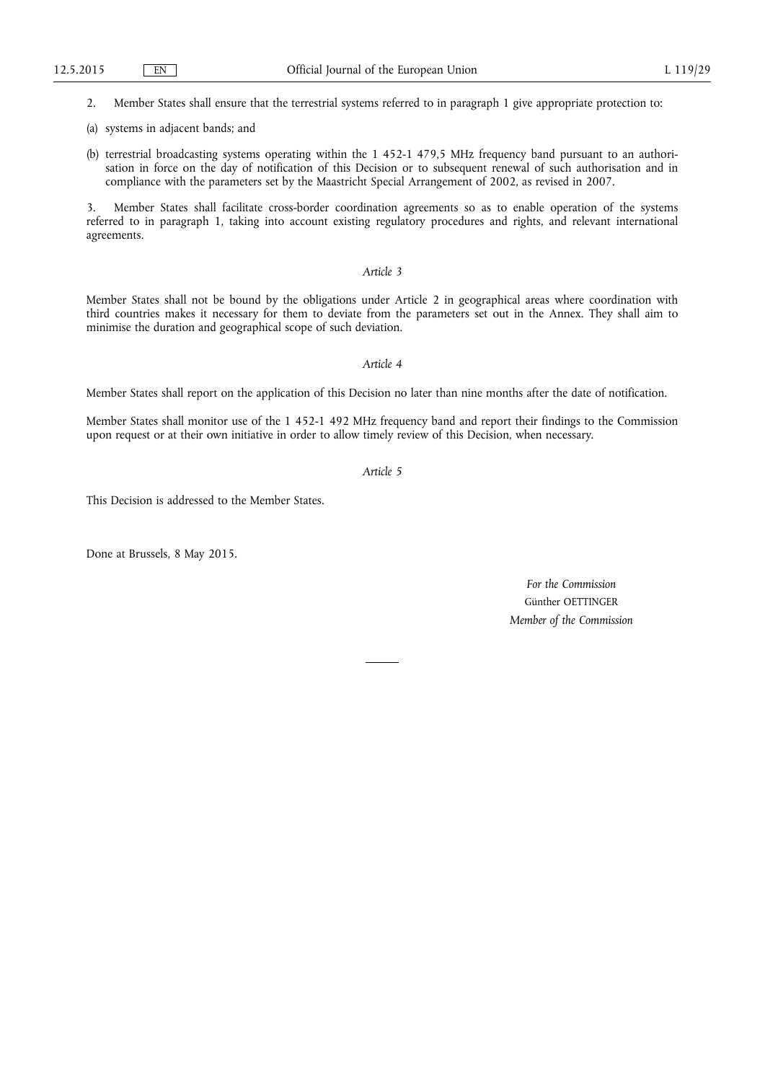2. Member States shall ensure that the terrestrial systems referred to in paragraph 1 give appropriate protection to:

- (a) systems in adjacent bands; and
- (b) terrestrial broadcasting systems operating within the 1 452-1 479,5 MHz frequency band pursuant to an authorisation in force on the day of notification of this Decision or to subsequent renewal of such authorisation and in compliance with the parameters set by the Maastricht Special Arrangement of 2002, as revised in 2007.

3. Member States shall facilitate cross-border coordination agreements so as to enable operation of the systems referred to in paragraph 1, taking into account existing regulatory procedures and rights, and relevant international agreements.

## *Article 3*

Member States shall not be bound by the obligations under Article 2 in geographical areas where coordination with third countries makes it necessary for them to deviate from the parameters set out in the Annex. They shall aim to minimise the duration and geographical scope of such deviation.

### *Article 4*

Member States shall report on the application of this Decision no later than nine months after the date of notification.

Member States shall monitor use of the 1 452-1 492 MHz frequency band and report their findings to the Commission upon request or at their own initiative in order to allow timely review of this Decision, when necessary.

*Article 5* 

This Decision is addressed to the Member States.

Done at Brussels, 8 May 2015.

*For the Commission*  Günther OETTINGER *Member of the Commission*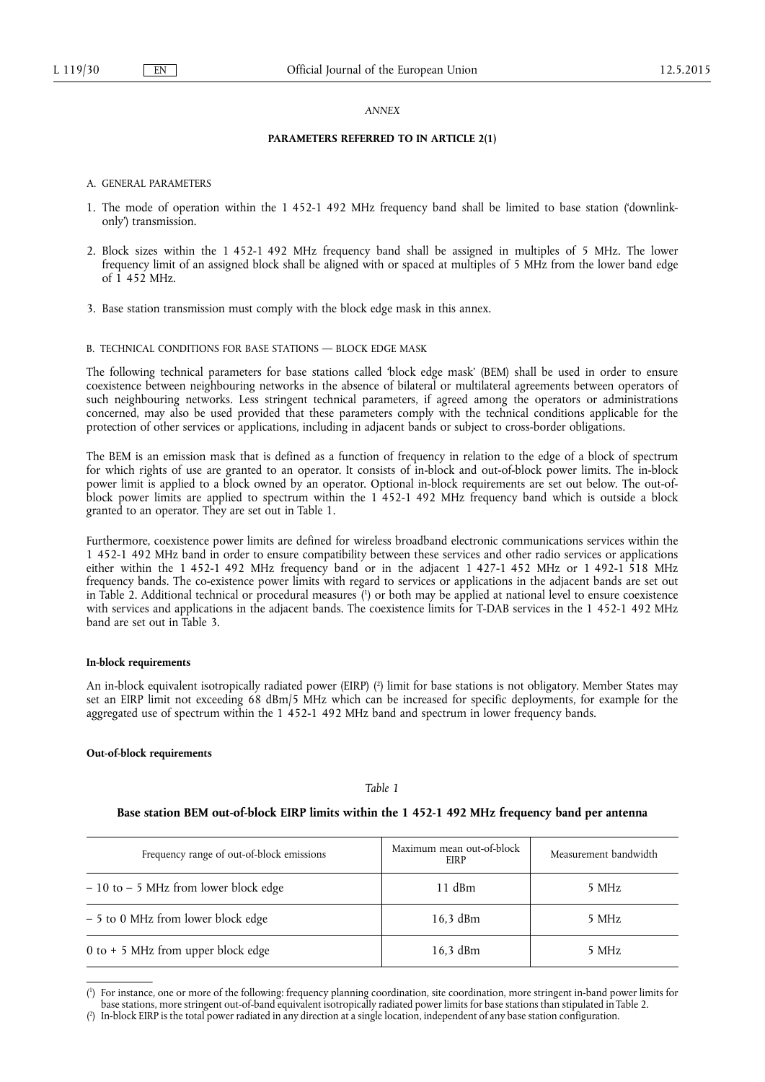#### *ANNEX*

#### **PARAMETERS REFERRED TO IN ARTICLE 2(1)**

- A. GENERAL PARAMETERS
- 1. The mode of operation within the 1 452-1 492 MHz frequency band shall be limited to base station ('downlinkonly') transmission.
- 2. Block sizes within the 1 452-1 492 MHz frequency band shall be assigned in multiples of 5 MHz. The lower frequency limit of an assigned block shall be aligned with or spaced at multiples of 5 MHz from the lower band edge of 1 452 MHz.
- 3. Base station transmission must comply with the block edge mask in this annex.

### B. TECHNICAL CONDITIONS FOR BASE STATIONS — BLOCK EDGE MASK

The following technical parameters for base stations called 'block edge mask' (BEM) shall be used in order to ensure coexistence between neighbouring networks in the absence of bilateral or multilateral agreements between operators of such neighbouring networks. Less stringent technical parameters, if agreed among the operators or administrations concerned, may also be used provided that these parameters comply with the technical conditions applicable for the protection of other services or applications, including in adjacent bands or subject to cross-border obligations.

The BEM is an emission mask that is defined as a function of frequency in relation to the edge of a block of spectrum for which rights of use are granted to an operator. It consists of in-block and out-of-block power limits. The in-block power limit is applied to a block owned by an operator. Optional in-block requirements are set out below. The out-ofblock power limits are applied to spectrum within the 1 452-1 492 MHz frequency band which is outside a block granted to an operator. They are set out in Table 1.

Furthermore, coexistence power limits are defined for wireless broadband electronic communications services within the 1 452-1 492 MHz band in order to ensure compatibility between these services and other radio services or applications either within the 1 452-1 492 MHz frequency band or in the adjacent 1 427-1 452 MHz or 1 492-1 518 MHz frequency bands. The co-existence power limits with regard to services or applications in the adjacent bands are set out in Table 2. Additional technical or procedural measures ( 1 ) or both may be applied at national level to ensure coexistence with services and applications in the adjacent bands. The coexistence limits for T-DAB services in the 1452-1492 MHz band are set out in Table 3.

#### **In-block requirements**

An in-block equivalent isotropically radiated power (EIRP) ( 2 ) limit for base stations is not obligatory. Member States may set an EIRP limit not exceeding 68 dBm/5 MHz which can be increased for specific deployments, for example for the aggregated use of spectrum within the 1 452-1 492 MHz band and spectrum in lower frequency bands.

### **Out-of-block requirements**

### *Table 1*

### **Base station BEM out-of-block EIRP limits within the 1 452-1 492 MHz frequency band per antenna**

| Frequency range of out-of-block emissions | Maximum mean out-of-block<br>EIRP | Measurement bandwidth |
|-------------------------------------------|-----------------------------------|-----------------------|
| $-10$ to $-5$ MHz from lower block edge   | $11$ dBm                          | 5 MHz                 |
| - 5 to 0 MHz from lower block edge        | $16.3$ dBm                        | 5 MHz                 |
| 0 to + 5 MHz from upper block edge        | $16,3$ dBm                        | 5 MHz                 |

<sup>(</sup> 1 ) For instance, one or more of the following: frequency planning coordination, site coordination, more stringent in-band power limits for base stations, more stringent out-of-band equivalent isotropically radiated power limits for base stations than stipulated in Table 2.

<sup>(</sup> 2 ) In-block EIRP is the total power radiated in any direction at a single location, independent of any base station configuration.